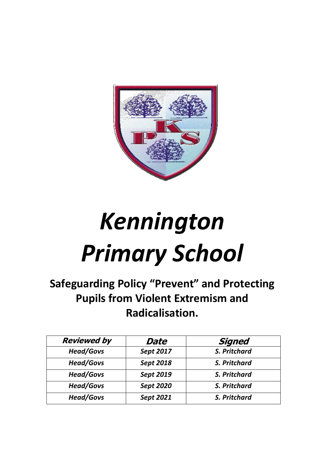

# *Kennington Primary School*

**Safeguarding Policy "Prevent" and Protecting Pupils from Violent Extremism and Radicalisation.**

| <b>Reviewed by</b> | Date             | Signed              |
|--------------------|------------------|---------------------|
| <b>Head/Govs</b>   | Sept 2017        | S. Pritchard        |
| <b>Head/Govs</b>   | <b>Sept 2018</b> | <b>S. Pritchard</b> |
| <b>Head/Govs</b>   | <b>Sept 2019</b> | <b>S. Pritchard</b> |
| <b>Head/Govs</b>   | <b>Sept 2020</b> | S. Pritchard        |
| <b>Head/Govs</b>   | Sept 2021        | S. Pritchard        |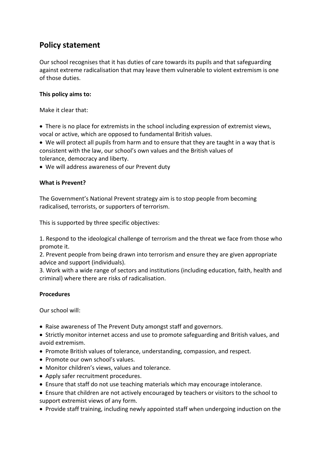## **Policy statement**

Our school recognises that it has duties of care towards its pupils and that safeguarding against extreme radicalisation that may leave them vulnerable to violent extremism is one of those duties.

### **This policy aims to:**

Make it clear that:

• There is no place for extremists in the school including expression of extremist views, vocal or active, which are opposed to fundamental British values.

• We will protect all pupils from harm and to ensure that they are taught in a way that is consistent with the law, our school's own values and the British values of tolerance, democracy and liberty.

• We will address awareness of our Prevent duty

### **What is Prevent?**

The Government's National Prevent strategy aim is to stop people from becoming radicalised, terrorists, or supporters of terrorism.

This is supported by three specific objectives:

1. Respond to the ideological challenge of terrorism and the threat we face from those who promote it.

2. Prevent people from being drawn into terrorism and ensure they are given appropriate advice and support (individuals).

3. Work with a wide range of sectors and institutions (including education, faith, health and criminal) where there are risks of radicalisation.

#### **Procedures**

Our school will:

- Raise awareness of The Prevent Duty amongst staff and governors.
- Strictly monitor internet access and use to promote safeguarding and British values, and avoid extremism.
- Promote British values of tolerance, understanding, compassion, and respect.
- Promote our own school's values.
- Monitor children's views, values and tolerance.
- Apply safer recruitment procedures.
- Ensure that staff do not use teaching materials which may encourage intolerance.
- Ensure that children are not actively encouraged by teachers or visitors to the school to support extremist views of any form.
- Provide staff training, including newly appointed staff when undergoing induction on the